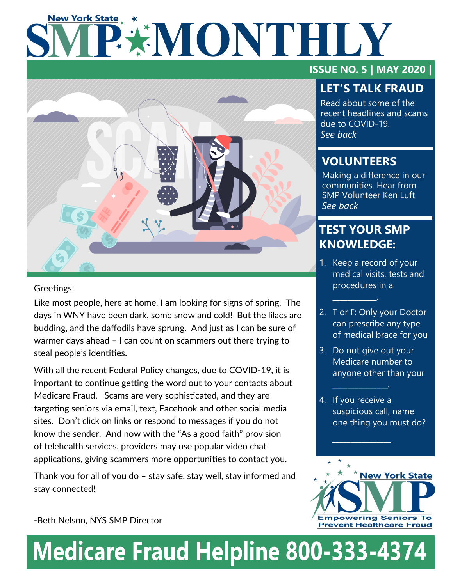# **New York State** P\*MONTHLY



### Greetings!

Like most people, here at home, I am looking for signs of spring. The days in WNY have been dark, some snow and cold! But the lilacs are budding, and the daffodils have sprung. And just as I can be sure of warmer days ahead – I can count on scammers out there trying to steal people's identities.

With all the recent Federal Policy changes, due to COVID-19, it is important to continue getting the word out to your contacts about Medicare Fraud. Scams are very sophisticated, and they are targeting seniors via email, text, Facebook and other social media sites. Don't click on links or respond to messages if you do not know the sender. And now with the "As a good faith" provision of telehealth services, providers may use popular video chat applications, giving scammers more opportunities to contact you.

Thank you for all of you do – stay safe, stay well, stay informed and stay connected!

### **ISSUE NO. 5 | MAY 2020 |**

# **LET'S TALK FRAUD**

Read about some of the recent headlines and scams due to COVID-19. *See back*

## **VOLUNTEERS**

Making a difference in our communities. Hear from SMP Volunteer Ken Luft *See back*

# **TEST YOUR SMP KNOWLEDGE:**

 $\mathcal{L}=\mathcal{L}^{\mathcal{L}}$ 

- 1. Keep a record of your medical visits, tests and procedures in a
- 2. T or F: Only your Doctor can prescribe any type of medical brace for you
- 3. Do not give out your Medicare number to anyone other than your

 $\mathcal{L}_\text{max}$  and  $\mathcal{L}_\text{max}$ 

 $\mathcal{L}=\mathcal{L}^{\mathcal{L}}$  , where  $\mathcal{L}^{\mathcal{L}}$ 

4. If you receive a suspicious call, name one thing you must do?



-Beth Nelson, NYS SMP Director

# **Medicare Fraud Helpline 800-333-4374**